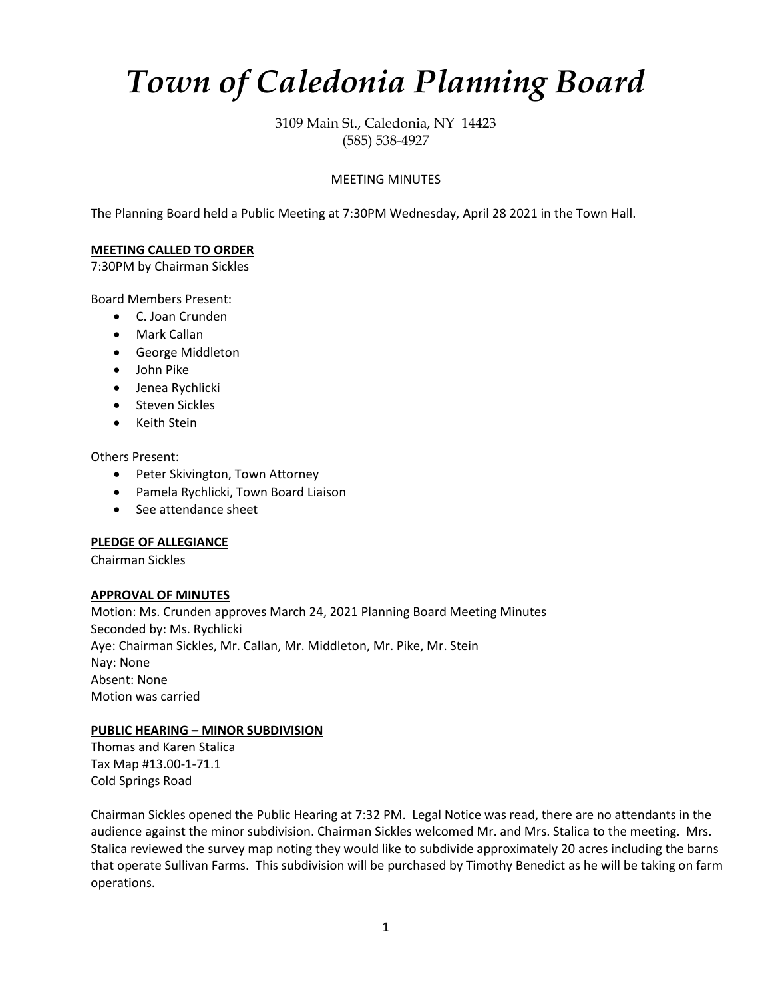# *Town of Caledonia Planning Board*

3109 Main St., Caledonia, NY 14423 (585) 538-4927

# MEETING MINUTES

The Planning Board held a Public Meeting at 7:30PM Wednesday, April 28 2021 in the Town Hall.

## **MEETING CALLED TO ORDER**

7:30PM by Chairman Sickles

Board Members Present:

- C. Joan Crunden
- Mark Callan
- George Middleton
- John Pike
- Jenea Rychlicki
- Steven Sickles
- Keith Stein

Others Present:

- Peter Skivington, Town Attorney
- Pamela Rychlicki, Town Board Liaison
- See attendance sheet

#### **PLEDGE OF ALLEGIANCE**

Chairman Sickles

#### **APPROVAL OF MINUTES**

Motion: Ms. Crunden approves March 24, 2021 Planning Board Meeting Minutes Seconded by: Ms. Rychlicki Aye: Chairman Sickles, Mr. Callan, Mr. Middleton, Mr. Pike, Mr. Stein Nay: None Absent: None Motion was carried

# **PUBLIC HEARING – MINOR SUBDIVISION**

Thomas and Karen Stalica Tax Map #13.00-1-71.1 Cold Springs Road

Chairman Sickles opened the Public Hearing at 7:32 PM. Legal Notice was read, there are no attendants in the audience against the minor subdivision. Chairman Sickles welcomed Mr. and Mrs. Stalica to the meeting. Mrs. Stalica reviewed the survey map noting they would like to subdivide approximately 20 acres including the barns that operate Sullivan Farms. This subdivision will be purchased by Timothy Benedict as he will be taking on farm operations.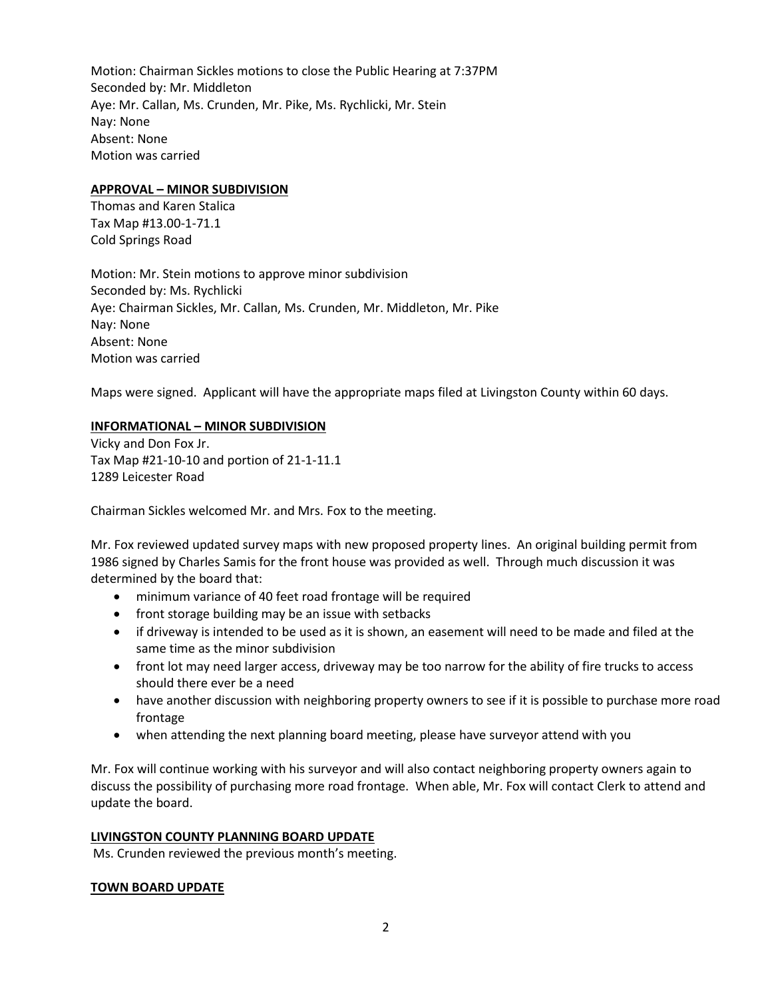Motion: Chairman Sickles motions to close the Public Hearing at 7:37PM Seconded by: Mr. Middleton Aye: Mr. Callan, Ms. Crunden, Mr. Pike, Ms. Rychlicki, Mr. Stein Nay: None Absent: None Motion was carried

## **APPROVAL – MINOR SUBDIVISION**

Thomas and Karen Stalica Tax Map #13.00-1-71.1 Cold Springs Road

Motion: Mr. Stein motions to approve minor subdivision Seconded by: Ms. Rychlicki Aye: Chairman Sickles, Mr. Callan, Ms. Crunden, Mr. Middleton, Mr. Pike Nay: None Absent: None Motion was carried

Maps were signed. Applicant will have the appropriate maps filed at Livingston County within 60 days.

# **INFORMATIONAL – MINOR SUBDIVISION**

Vicky and Don Fox Jr. Tax Map #21-10-10 and portion of 21-1-11.1 1289 Leicester Road

Chairman Sickles welcomed Mr. and Mrs. Fox to the meeting.

Mr. Fox reviewed updated survey maps with new proposed property lines. An original building permit from 1986 signed by Charles Samis for the front house was provided as well. Through much discussion it was determined by the board that:

- minimum variance of 40 feet road frontage will be required
- front storage building may be an issue with setbacks
- if driveway is intended to be used as it is shown, an easement will need to be made and filed at the same time as the minor subdivision
- front lot may need larger access, driveway may be too narrow for the ability of fire trucks to access should there ever be a need
- have another discussion with neighboring property owners to see if it is possible to purchase more road frontage
- when attending the next planning board meeting, please have surveyor attend with you

Mr. Fox will continue working with his surveyor and will also contact neighboring property owners again to discuss the possibility of purchasing more road frontage. When able, Mr. Fox will contact Clerk to attend and update the board.

## **LIVINGSTON COUNTY PLANNING BOARD UPDATE**

Ms. Crunden reviewed the previous month's meeting.

#### **TOWN BOARD UPDATE**